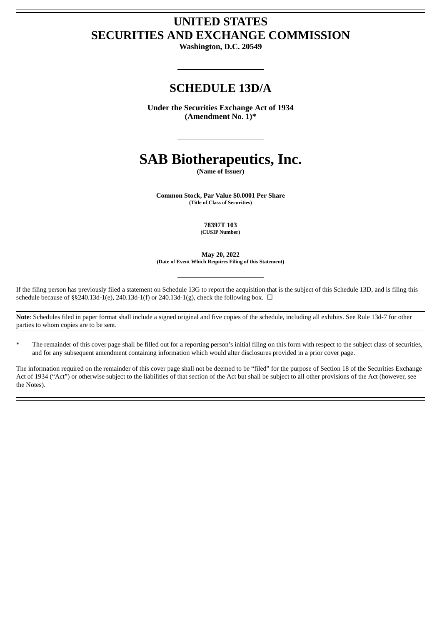# **UNITED STATES SECURITIES AND EXCHANGE COMMISSION**

**Washington, D.C. 20549**

# **SCHEDULE 13D/A**

**Under the Securities Exchange Act of 1934 (Amendment No. 1)\***

# **SAB Biotherapeutics, Inc.**

**(Name of Issuer)**

**Common Stock, Par Value \$0.0001 Per Share (Title of Class of Securities)**

> **78397T 103 (CUSIP Number)**

**May 20, 2022 (Date of Event Which Requires Filing of this Statement)**

If the filing person has previously filed a statement on Schedule 13G to report the acquisition that is the subject of this Schedule 13D, and is filing this schedule because of §§240.13d-1(e), 240.13d-1(f) or 240.13d-1(g), check the following box.  $\Box$ 

**Note**: Schedules filed in paper format shall include a signed original and five copies of the schedule, including all exhibits. See Rule 13d-7 for other parties to whom copies are to be sent.

The remainder of this cover page shall be filled out for a reporting person's initial filing on this form with respect to the subject class of securities, and for any subsequent amendment containing information which would alter disclosures provided in a prior cover page.

The information required on the remainder of this cover page shall not be deemed to be "filed" for the purpose of Section 18 of the Securities Exchange Act of 1934 ("Act") or otherwise subject to the liabilities of that section of the Act but shall be subject to all other provisions of the Act (however, see the Notes).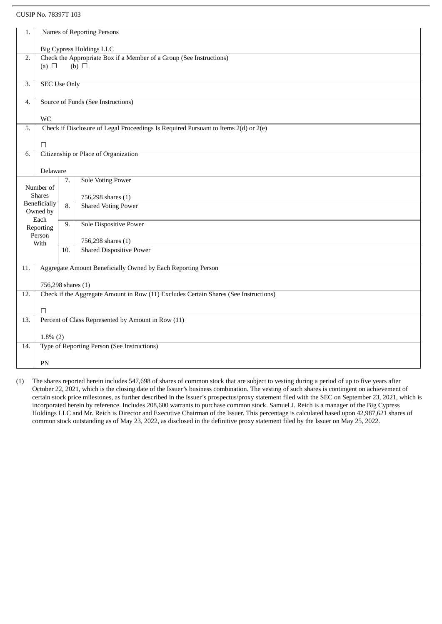#### CUSIP No. 78397T 103

| 1.                                                                                        | <b>Names of Reporting Persons</b>                                                                          |     |                                                       |  |  |  |
|-------------------------------------------------------------------------------------------|------------------------------------------------------------------------------------------------------------|-----|-------------------------------------------------------|--|--|--|
|                                                                                           |                                                                                                            |     |                                                       |  |  |  |
|                                                                                           | <b>Big Cypress Holdings LLC</b>                                                                            |     |                                                       |  |  |  |
|                                                                                           | Check the Appropriate Box if a Member of a Group (See Instructions)<br>2.<br>$(b)$ $\square$<br>(a) $\Box$ |     |                                                       |  |  |  |
|                                                                                           |                                                                                                            |     |                                                       |  |  |  |
| 3.                                                                                        | <b>SEC Use Only</b>                                                                                        |     |                                                       |  |  |  |
|                                                                                           |                                                                                                            |     |                                                       |  |  |  |
| 4.                                                                                        | Source of Funds (See Instructions)                                                                         |     |                                                       |  |  |  |
|                                                                                           |                                                                                                            |     |                                                       |  |  |  |
|                                                                                           | <b>WC</b>                                                                                                  |     |                                                       |  |  |  |
| Check if Disclosure of Legal Proceedings Is Required Pursuant to Items 2(d) or 2(e)<br>5. |                                                                                                            |     |                                                       |  |  |  |
|                                                                                           |                                                                                                            |     |                                                       |  |  |  |
| 6.                                                                                        | $\Box$<br>Citizenship or Place of Organization                                                             |     |                                                       |  |  |  |
|                                                                                           |                                                                                                            |     |                                                       |  |  |  |
|                                                                                           | Delaware                                                                                                   |     |                                                       |  |  |  |
|                                                                                           |                                                                                                            | 7.  | <b>Sole Voting Power</b>                              |  |  |  |
|                                                                                           | Number of                                                                                                  |     |                                                       |  |  |  |
|                                                                                           | <b>Shares</b>                                                                                              |     | 756,298 shares (1)                                    |  |  |  |
|                                                                                           | Beneficially                                                                                               | 8.  | <b>Shared Voting Power</b>                            |  |  |  |
|                                                                                           | Owned by<br>Each                                                                                           |     |                                                       |  |  |  |
|                                                                                           | Reporting                                                                                                  | 9.  | <b>Sole Dispositive Power</b>                         |  |  |  |
|                                                                                           | Person                                                                                                     |     |                                                       |  |  |  |
|                                                                                           | With                                                                                                       |     | 756,298 shares (1)<br><b>Shared Dispositive Power</b> |  |  |  |
|                                                                                           |                                                                                                            | 10. |                                                       |  |  |  |
| 11.                                                                                       | Aggregate Amount Beneficially Owned by Each Reporting Person                                               |     |                                                       |  |  |  |
|                                                                                           |                                                                                                            |     |                                                       |  |  |  |
|                                                                                           | 756,298 shares (1)                                                                                         |     |                                                       |  |  |  |
| 12.                                                                                       | Check if the Aggregate Amount in Row (11) Excludes Certain Shares (See Instructions)                       |     |                                                       |  |  |  |
|                                                                                           |                                                                                                            |     |                                                       |  |  |  |
|                                                                                           | $\Box$                                                                                                     |     |                                                       |  |  |  |
| 13.                                                                                       |                                                                                                            |     | Percent of Class Represented by Amount in Row (11)    |  |  |  |
|                                                                                           |                                                                                                            |     |                                                       |  |  |  |
|                                                                                           | $1.8\%$ (2)                                                                                                |     |                                                       |  |  |  |
| 14.                                                                                       | Type of Reporting Person (See Instructions)                                                                |     |                                                       |  |  |  |
|                                                                                           | PN                                                                                                         |     |                                                       |  |  |  |
|                                                                                           |                                                                                                            |     |                                                       |  |  |  |

(1) The shares reported herein includes 547,698 of shares of common stock that are subject to vesting during a period of up to five years after October 22, 2021, which is the closing date of the Issuer's business combination. The vesting of such shares is contingent on achievement of certain stock price milestones, as further described in the Issuer's prospectus/proxy statement filed with the SEC on September 23, 2021, which is incorporated herein by reference. Includes 208,600 warrants to purchase common stock. Samuel J. Reich is a manager of the Big Cypress Holdings LLC and Mr. Reich is Director and Executive Chairman of the Issuer. This percentage is calculated based upon 42,987,621 shares of common stock outstanding as of May 23, 2022, as disclosed in the definitive proxy statement filed by the Issuer on May 25, 2022.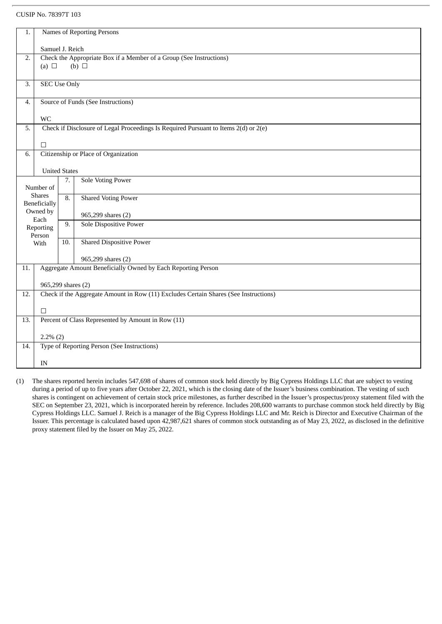#### CUSIP No. 78397T 103

|                                                                           | Names of Reporting Persons<br>1.                                                                           |                      |                                    |  |  |  |
|---------------------------------------------------------------------------|------------------------------------------------------------------------------------------------------------|----------------------|------------------------------------|--|--|--|
|                                                                           |                                                                                                            | Samuel J. Reich      |                                    |  |  |  |
| Check the Appropriate Box if a Member of a Group (See Instructions)<br>2. |                                                                                                            |                      |                                    |  |  |  |
|                                                                           | (a) $\Box$                                                                                                 |                      | (b) $\Box$                         |  |  |  |
| $\overline{3}$ .                                                          | <b>SEC Use Only</b>                                                                                        |                      |                                    |  |  |  |
| 4.                                                                        |                                                                                                            |                      | Source of Funds (See Instructions) |  |  |  |
|                                                                           | <b>WC</b>                                                                                                  |                      |                                    |  |  |  |
| 5.                                                                        | Check if Disclosure of Legal Proceedings Is Required Pursuant to Items 2(d) or 2(e)                        |                      |                                    |  |  |  |
|                                                                           | $\Box$                                                                                                     |                      |                                    |  |  |  |
| Citizenship or Place of Organization<br>6.                                |                                                                                                            |                      |                                    |  |  |  |
|                                                                           |                                                                                                            |                      |                                    |  |  |  |
|                                                                           |                                                                                                            | <b>United States</b> |                                    |  |  |  |
|                                                                           | Number of                                                                                                  | 7.                   | <b>Sole Voting Power</b>           |  |  |  |
|                                                                           | <b>Shares</b><br>Beneficially                                                                              | 8.                   | <b>Shared Voting Power</b>         |  |  |  |
|                                                                           | Owned by<br>Each                                                                                           |                      | 965,299 shares (2)                 |  |  |  |
|                                                                           | Reporting<br>Person                                                                                        | 9.                   | <b>Sole Dispositive Power</b>      |  |  |  |
|                                                                           | With                                                                                                       | 10.                  | <b>Shared Dispositive Power</b>    |  |  |  |
|                                                                           |                                                                                                            |                      | 965,299 shares (2)                 |  |  |  |
| 11.                                                                       | Aggregate Amount Beneficially Owned by Each Reporting Person                                               |                      |                                    |  |  |  |
|                                                                           |                                                                                                            |                      |                                    |  |  |  |
| 12.                                                                       | 965,299 shares (2)<br>Check if the Aggregate Amount in Row (11) Excludes Certain Shares (See Instructions) |                      |                                    |  |  |  |
|                                                                           |                                                                                                            |                      |                                    |  |  |  |
| $\Box$                                                                    |                                                                                                            |                      |                                    |  |  |  |
| Percent of Class Represented by Amount in Row (11)<br>13.                 |                                                                                                            |                      |                                    |  |  |  |
|                                                                           | $2.2\%$ (2)                                                                                                |                      |                                    |  |  |  |
| 14.                                                                       | Type of Reporting Person (See Instructions)                                                                |                      |                                    |  |  |  |
|                                                                           | IN                                                                                                         |                      |                                    |  |  |  |
|                                                                           |                                                                                                            |                      |                                    |  |  |  |

(1) The shares reported herein includes 547,698 of shares of common stock held directly by Big Cypress Holdings LLC that are subject to vesting during a period of up to five years after October 22, 2021, which is the closing date of the Issuer's business combination. The vesting of such shares is contingent on achievement of certain stock price milestones, as further described in the Issuer's prospectus/proxy statement filed with the SEC on September 23, 2021, which is incorporated herein by reference. Includes 208,600 warrants to purchase common stock held directly by Big Cypress Holdings LLC. Samuel J. Reich is a manager of the Big Cypress Holdings LLC and Mr. Reich is Director and Executive Chairman of the Issuer. This percentage is calculated based upon 42,987,621 shares of common stock outstanding as of May 23, 2022, as disclosed in the definitive proxy statement filed by the Issuer on May 25, 2022.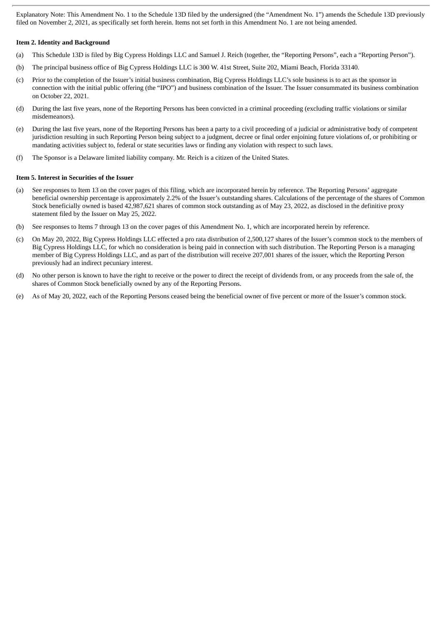Explanatory Note: This Amendment No. 1 to the Schedule 13D filed by the undersigned (the "Amendment No. 1") amends the Schedule 13D previously filed on November 2, 2021, as specifically set forth herein. Items not set forth in this Amendment No. 1 are not being amended.

#### **Item 2. Identity and Background**

- (a) This Schedule 13D is filed by Big Cypress Holdings LLC and Samuel J. Reich (together, the "Reporting Persons", each a "Reporting Person").
- (b) The principal business office of Big Cypress Holdings LLC is 300 W. 41st Street, Suite 202, Miami Beach, Florida 33140.
- (c) Prior to the completion of the Issuer's initial business combination, Big Cypress Holdings LLC's sole business is to act as the sponsor in connection with the initial public offering (the "IPO") and business combination of the Issuer. The Issuer consummated its business combination on October 22, 2021.
- (d) During the last five years, none of the Reporting Persons has been convicted in a criminal proceeding (excluding traffic violations or similar misdemeanors).
- (e) During the last five years, none of the Reporting Persons has been a party to a civil proceeding of a judicial or administrative body of competent jurisdiction resulting in such Reporting Person being subject to a judgment, decree or final order enjoining future violations of, or prohibiting or mandating activities subject to, federal or state securities laws or finding any violation with respect to such laws.
- (f) The Sponsor is a Delaware limited liability company. Mr. Reich is a citizen of the United States.

#### **Item 5. Interest in Securities of the Issuer**

- (a) See responses to Item 13 on the cover pages of this filing, which are incorporated herein by reference. The Reporting Persons' aggregate beneficial ownership percentage is approximately 2.2% of the Issuer's outstanding shares. Calculations of the percentage of the shares of Common Stock beneficially owned is based 42,987,621 shares of common stock outstanding as of May 23, 2022, as disclosed in the definitive proxy statement filed by the Issuer on May 25, 2022.
- (b) See responses to Items 7 through 13 on the cover pages of this Amendment No. 1, which are incorporated herein by reference.
- (c) On May 20, 2022, Big Cypress Holdings LLC effected a pro rata distribution of 2,500,127 shares of the Issuer's common stock to the members of Big Cypress Holdings LLC, for which no consideration is being paid in connection with such distribution. The Reporting Person is a managing member of Big Cypress Holdings LLC, and as part of the distribution will receive 207,001 shares of the issuer, which the Reporting Person previously had an indirect pecuniary interest.
- (d) No other person is known to have the right to receive or the power to direct the receipt of dividends from, or any proceeds from the sale of, the shares of Common Stock beneficially owned by any of the Reporting Persons.
- (e) As of May 20, 2022, each of the Reporting Persons ceased being the beneficial owner of five percent or more of the Issuer's common stock.